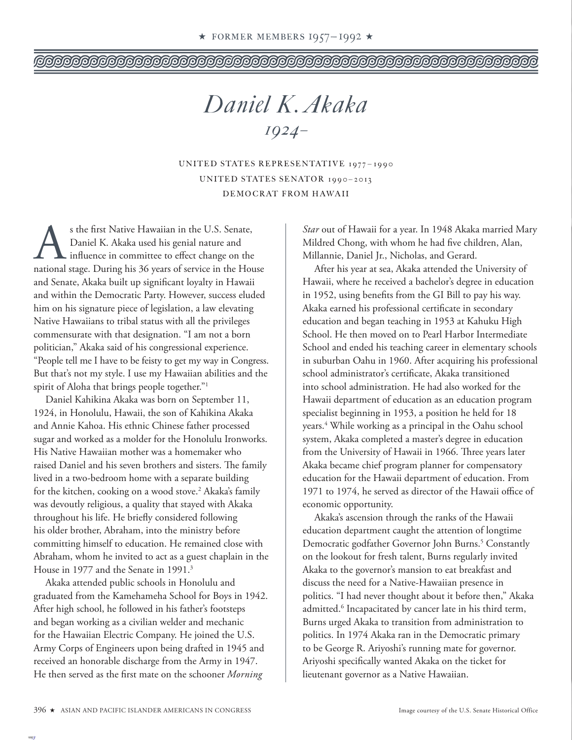## 

*Daniel K. Akaka 1924–*

UNITED STATES REPRESENTATIVE 1977-1990 UNITED STATES SENATOR 1990-2013 DEMO CRAT FROM HAWAII

Stable Hawaiian in the U.S. Senate, Daniel K. Akaka used his genial nature and influence in committee to effect change on the national stage. During his 36 years of service in the House Daniel K. Akaka used his genial nature and influence in committee to effect change on the and Senate, Akaka built up significant loyalty in Hawaii and within the Democratic Party. However, success eluded him on his signature piece of legislation, a law elevating Native Hawaiians to tribal status with all the privileges commensurate with that designation. "I am not a born politician," Akaka said of his congressional experience. "People tell me I have to be feisty to get my way in Congress. But that's not my style. I use my Hawaiian abilities and the spirit of Aloha that brings people together."<sup>1</sup>

Daniel Kahikina Akaka was born on September 11, 1924, in Honolulu, Hawaii, the son of Kahikina Akaka and Annie Kahoa. His ethnic Chinese father processed sugar and worked as a molder for the Honolulu Ironworks. His Native Hawaiian mother was a homemaker who raised Daniel and his seven brothers and sisters. The family lived in a two-bedroom home with a separate building for the kitchen, cooking on a wood stove.<sup>2</sup> Akaka's family was devoutly religious, a quality that stayed with Akaka throughout his life. He briefly considered following his older brother, Abraham, into the ministry before committing himself to education. He remained close with Abraham, whom he invited to act as a guest chaplain in the House in 1977 and the Senate in 1991.<sup>3</sup>

Akaka attended public schools in Honolulu and graduated from the Kamehameha School for Boys in 1942. After high school, he followed in his father's footsteps and began working as a civilian welder and mechanic for the Hawaiian Electric Company. He joined the U.S. Army Corps of Engineers upon being drafted in 1945 and received an honorable discharge from the Army in 1947. He then served as the first mate on the schooner *Morning* 

*Star* out of Hawaii for a year. In 1948 Akaka married Mary Mildred Chong, with whom he had five children, Alan, Millannie, Daniel Jr., Nicholas, and Gerard.

After his year at sea, Akaka attended the University of Hawaii, where he received a bachelor's degree in education in 1952, using benefits from the GI Bill to pay his way. Akaka earned his professional certificate in secondary education and began teaching in 1953 at Kahuku High School. He then moved on to Pearl Harbor Intermediate School and ended his teaching career in elementary schools in suburban Oahu in 1960. After acquiring his professional school administrator's certificate, Akaka transitioned into school administration. He had also worked for the Hawaii department of education as an education program specialist beginning in 1953, a position he held for 18 years.4 While working as a principal in the Oahu school system, Akaka completed a master's degree in education from the University of Hawaii in 1966. Three years later Akaka became chief program planner for compensatory education for the Hawaii department of education. From 1971 to 1974, he served as director of the Hawaii office of economic opportunity.

Akaka's ascension through the ranks of the Hawaii education department caught the attention of longtime Democratic godfather Governor John Burns.<sup>5</sup> Constantly on the lookout for fresh talent, Burns regularly invited Akaka to the governor's mansion to eat breakfast and discuss the need for a Native-Hawaiian presence in politics. "I had never thought about it before then," Akaka admitted.6 Incapacitated by cancer late in his third term, Burns urged Akaka to transition from administration to politics. In 1974 Akaka ran in the Democratic primary to be George R. Ariyoshi's running mate for governor. Ariyoshi specifically wanted Akaka on the ticket for lieutenant governor as a Native Hawaiian.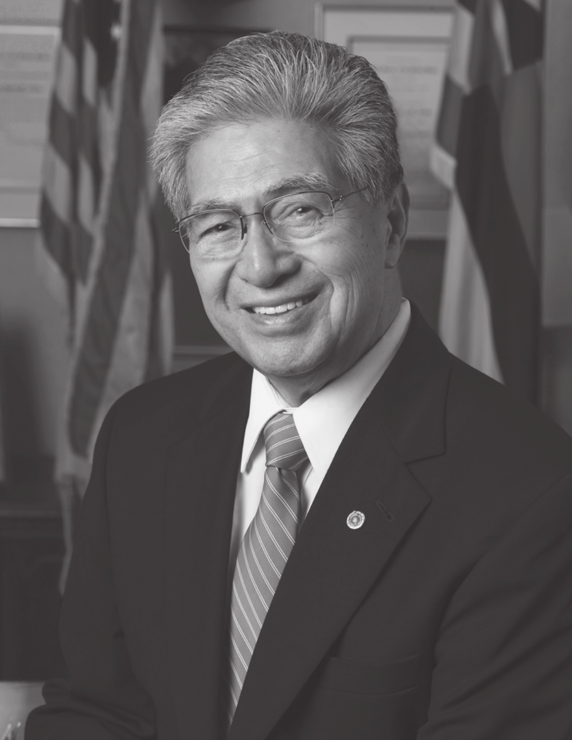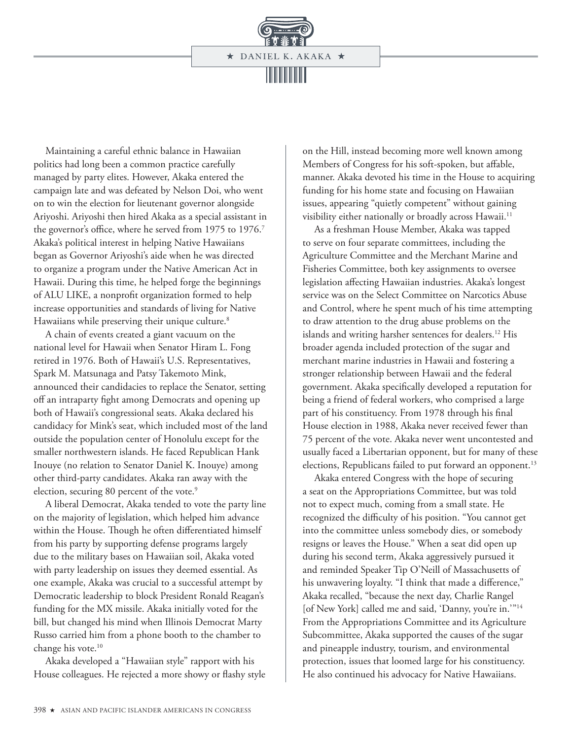Maintaining a careful ethnic balance in Hawaiian politics had long been a common practice carefully managed by party elites. However, Akaka entered the campaign late and was defeated by Nelson Doi, who went on to win the election for lieutenant governor alongside Ariyoshi. Ariyoshi then hired Akaka as a special assistant in the governor's office, where he served from 1975 to 1976.<sup>7</sup> Akaka's political interest in helping Native Hawaiians began as Governor Ariyoshi's aide when he was directed to organize a program under the Native American Act in Hawaii. During this time, he helped forge the beginnings of ALU LIKE, a nonprofit organization formed to help increase opportunities and standards of living for Native Hawaiians while preserving their unique culture.<sup>8</sup>

A chain of events created a giant vacuum on the national level for Hawaii when Senator Hiram L. Fong retired in 1976. Both of Hawaii's U.S. Representatives, Spark M. Matsunaga and Patsy Takemoto Mink, announced their candidacies to replace the Senator, setting off an intraparty fight among Democrats and opening up both of Hawaii's congressional seats. Akaka declared his candidacy for Mink's seat, which included most of the land outside the population center of Honolulu except for the smaller northwestern islands. He faced Republican Hank Inouye (no relation to Senator Daniel K. Inouye) among other third-party candidates. Akaka ran away with the election, securing 80 percent of the vote.<sup>9</sup>

A liberal Democrat, Akaka tended to vote the party line on the majority of legislation, which helped him advance within the House. Though he often differentiated himself from his party by supporting defense programs largely due to the military bases on Hawaiian soil, Akaka voted with party leadership on issues they deemed essential. As one example, Akaka was crucial to a successful attempt by Democratic leadership to block President Ronald Reagan's funding for the MX missile. Akaka initially voted for the bill, but changed his mind when Illinois Democrat Marty Russo carried him from a phone booth to the chamber to change his vote.<sup>10</sup>

Akaka developed a "Hawaiian style" rapport with his House colleagues. He rejected a more showy or flashy style on the Hill, instead becoming more well known among Members of Congress for his soft-spoken, but affable, manner. Akaka devoted his time in the House to acquiring funding for his home state and focusing on Hawaiian issues, appearing "quietly competent" without gaining visibility either nationally or broadly across Hawaii.<sup>11</sup>

As a freshman House Member, Akaka was tapped to serve on four separate committees, including the Agriculture Committee and the Merchant Marine and Fisheries Committee, both key assignments to oversee legislation affecting Hawaiian industries. Akaka's longest service was on the Select Committee on Narcotics Abuse and Control, where he spent much of his time attempting to draw attention to the drug abuse problems on the islands and writing harsher sentences for dealers.<sup>12</sup> His broader agenda included protection of the sugar and merchant marine industries in Hawaii and fostering a stronger relationship between Hawaii and the federal government. Akaka specifically developed a reputation for being a friend of federal workers, who comprised a large part of his constituency. From 1978 through his final House election in 1988, Akaka never received fewer than 75 percent of the vote. Akaka never went uncontested and usually faced a Libertarian opponent, but for many of these elections, Republicans failed to put forward an opponent.<sup>13</sup>

Akaka entered Congress with the hope of securing a seat on the Appropriations Committee, but was told not to expect much, coming from a small state. He recognized the difficulty of his position. "You cannot get into the committee unless somebody dies, or somebody resigns or leaves the House." When a seat did open up during his second term, Akaka aggressively pursued it and reminded Speaker Tip O'Neill of Massachusetts of his unwavering loyalty. "I think that made a difference," Akaka recalled, "because the next day, Charlie Rangel [of New York] called me and said, 'Danny, you're in.'"<sup>14</sup> From the Appropriations Committee and its Agriculture Subcommittee, Akaka supported the causes of the sugar and pineapple industry, tourism, and environmental protection, issues that loomed large for his constituency. He also continued his advocacy for Native Hawaiians.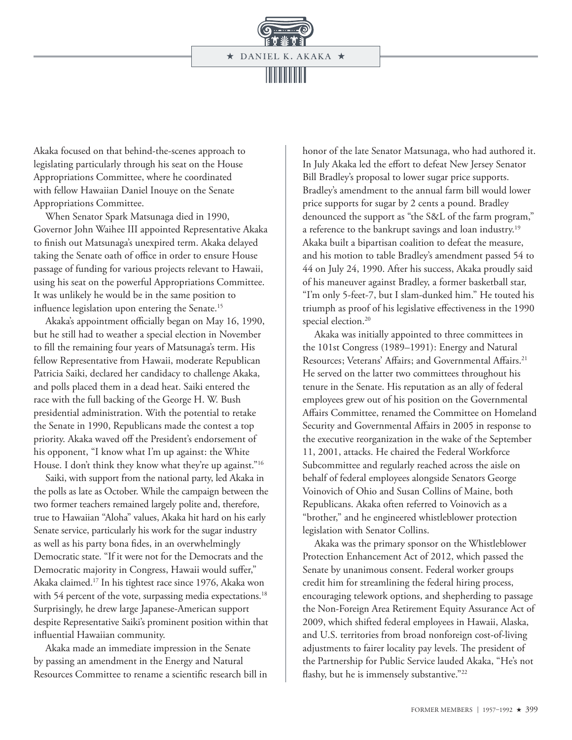Akaka focused on that behind-the-scenes approach to legislating particularly through his seat on the House Appropriations Committee, where he coordinated with fellow Hawaiian Daniel Inouye on the Senate Appropriations Committee.

When Senator Spark Matsunaga died in 1990, Governor John Waihee III appointed Representative Akaka to finish out Matsunaga's unexpired term. Akaka delayed taking the Senate oath of office in order to ensure House passage of funding for various projects relevant to Hawaii, using his seat on the powerful Appropriations Committee. It was unlikely he would be in the same position to influence legislation upon entering the Senate.<sup>15</sup>

Akaka's appointment officially began on May 16, 1990, but he still had to weather a special election in November to fill the remaining four years of Matsunaga's term. His fellow Representative from Hawaii, moderate Republican Patricia Saiki, declared her candidacy to challenge Akaka, and polls placed them in a dead heat. Saiki entered the race with the full backing of the George H. W. Bush presidential administration. With the potential to retake the Senate in 1990, Republicans made the contest a top priority. Akaka waved off the President's endorsement of his opponent, "I know what I'm up against: the White House. I don't think they know what they're up against."<sup>16</sup>

Saiki, with support from the national party, led Akaka in the polls as late as October. While the campaign between the two former teachers remained largely polite and, therefore, true to Hawaiian "Aloha" values, Akaka hit hard on his early Senate service, particularly his work for the sugar industry as well as his party bona fides, in an overwhelmingly Democratic state. "If it were not for the Democrats and the Democratic majority in Congress, Hawaii would suffer," Akaka claimed.17 In his tightest race since 1976, Akaka won with 54 percent of the vote, surpassing media expectations.<sup>18</sup> Surprisingly, he drew large Japanese-American support despite Representative Saiki's prominent position within that influential Hawaiian community.

Akaka made an immediate impression in the Senate by passing an amendment in the Energy and Natural Resources Committee to rename a scientific research bill in honor of the late Senator Matsunaga, who had authored it. In July Akaka led the effort to defeat New Jersey Senator Bill Bradley's proposal to lower sugar price supports. Bradley's amendment to the annual farm bill would lower price supports for sugar by 2 cents a pound. Bradley denounced the support as "the S&L of the farm program," a reference to the bankrupt savings and loan industry.<sup>19</sup> Akaka built a bipartisan coalition to defeat the measure, and his motion to table Bradley's amendment passed 54 to 44 on July 24, 1990. After his success, Akaka proudly said of his maneuver against Bradley, a former basketball star, "I'm only 5-feet-7, but I slam-dunked him." He touted his triumph as proof of his legislative effectiveness in the 1990 special election.<sup>20</sup>

Akaka was initially appointed to three committees in the 101st Congress (1989–1991): Energy and Natural Resources; Veterans' Affairs; and Governmental Affairs.<sup>21</sup> He served on the latter two committees throughout his tenure in the Senate. His reputation as an ally of federal employees grew out of his position on the Governmental Affairs Committee, renamed the Committee on Homeland Security and Governmental Affairs in 2005 in response to the executive reorganization in the wake of the September 11, 2001, attacks. He chaired the Federal Workforce Subcommittee and regularly reached across the aisle on behalf of federal employees alongside Senators George Voinovich of Ohio and Susan Collins of Maine, both Republicans. Akaka often referred to Voinovich as a "brother," and he engineered whistleblower protection legislation with Senator Collins.

Akaka was the primary sponsor on the Whistleblower Protection Enhancement Act of 2012, which passed the Senate by unanimous consent. Federal worker groups credit him for streamlining the federal hiring process, encouraging telework options, and shepherding to passage the Non-Foreign Area Retirement Equity Assurance Act of 2009, which shifted federal employees in Hawaii, Alaska, and U.S. territories from broad nonforeign cost-of-living adjustments to fairer locality pay levels. The president of the Partnership for Public Service lauded Akaka, "He's not flashy, but he is immensely substantive."<sup>22</sup>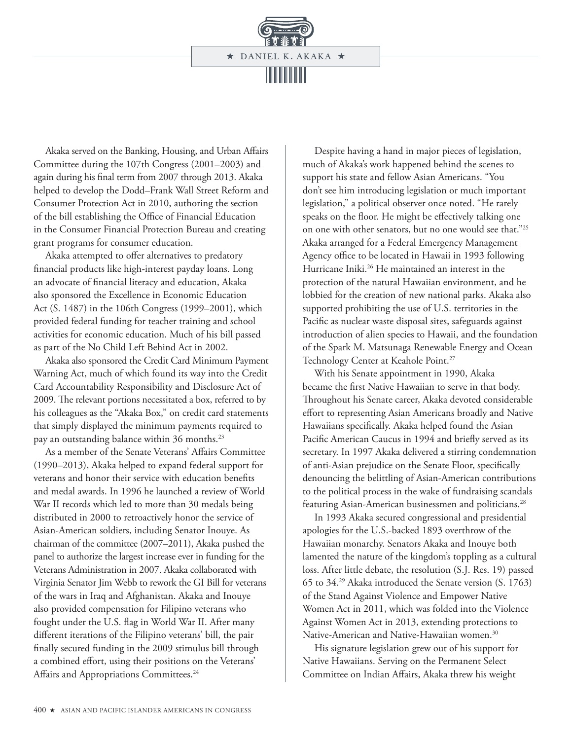Akaka served on the Banking, Housing, and Urban Affairs Committee during the 107th Congress (2001–2003) and again during his final term from 2007 through 2013. Akaka helped to develop the Dodd–Frank Wall Street Reform and Consumer Protection Act in 2010, authoring the section of the bill establishing the Office of Financial Education in the Consumer Financial Protection Bureau and creating grant programs for consumer education.

Akaka attempted to offer alternatives to predatory financial products like high-interest payday loans. Long an advocate of financial literacy and education, Akaka also sponsored the Excellence in Economic Education Act (S. 1487) in the 106th Congress (1999–2001), which provided federal funding for teacher training and school activities for economic education. Much of his bill passed as part of the No Child Left Behind Act in 2002.

Akaka also sponsored the Credit Card Minimum Payment Warning Act, much of which found its way into the Credit Card Accountability Responsibility and Disclosure Act of 2009. The relevant portions necessitated a box, referred to by his colleagues as the "Akaka Box," on credit card statements that simply displayed the minimum payments required to pay an outstanding balance within 36 months.<sup>23</sup>

As a member of the Senate Veterans' Affairs Committee (1990–2013), Akaka helped to expand federal support for veterans and honor their service with education benefits and medal awards. In 1996 he launched a review of World War II records which led to more than 30 medals being distributed in 2000 to retroactively honor the service of Asian-American soldiers, including Senator Inouye. As chairman of the committee (2007–2011), Akaka pushed the panel to authorize the largest increase ever in funding for the Veterans Administration in 2007. Akaka collaborated with Virginia Senator Jim Webb to rework the GI Bill for veterans of the wars in Iraq and Afghanistan. Akaka and Inouye also provided compensation for Filipino veterans who fought under the U.S. flag in World War II. After many different iterations of the Filipino veterans' bill, the pair finally secured funding in the 2009 stimulus bill through a combined effort, using their positions on the Veterans' Affairs and Appropriations Committees.<sup>24</sup>

Despite having a hand in major pieces of legislation, much of Akaka's work happened behind the scenes to support his state and fellow Asian Americans. "You don't see him introducing legislation or much important legislation," a political observer once noted. "He rarely speaks on the floor. He might be effectively talking one on one with other senators, but no one would see that."25 Akaka arranged for a Federal Emergency Management Agency office to be located in Hawaii in 1993 following Hurricane Iniki.26 He maintained an interest in the protection of the natural Hawaiian environment, and he lobbied for the creation of new national parks. Akaka also supported prohibiting the use of U.S. territories in the Pacific as nuclear waste disposal sites, safeguards against introduction of alien species to Hawaii, and the foundation of the Spark M. Matsunaga Renewable Energy and Ocean Technology Center at Keahole Point.<sup>27</sup>

With his Senate appointment in 1990, Akaka became the first Native Hawaiian to serve in that body. Throughout his Senate career, Akaka devoted considerable effort to representing Asian Americans broadly and Native Hawaiians specifically. Akaka helped found the Asian Pacific American Caucus in 1994 and briefly served as its secretary. In 1997 Akaka delivered a stirring condemnation of anti-Asian prejudice on the Senate Floor, specifically denouncing the belittling of Asian-American contributions to the political process in the wake of fundraising scandals featuring Asian-American businessmen and politicians.<sup>28</sup>

In 1993 Akaka secured congressional and presidential apologies for the U.S.-backed 1893 overthrow of the Hawaiian monarchy. Senators Akaka and Inouye both lamented the nature of the kingdom's toppling as a cultural loss. After little debate, the resolution (S.J. Res. 19) passed 65 to 34.29 Akaka introduced the Senate version (S. 1763) of the Stand Against Violence and Empower Native Women Act in 2011, which was folded into the Violence Against Women Act in 2013, extending protections to Native-American and Native-Hawaiian women.<sup>30</sup>

His signature legislation grew out of his support for Native Hawaiians. Serving on the Permanent Select Committee on Indian Affairs, Akaka threw his weight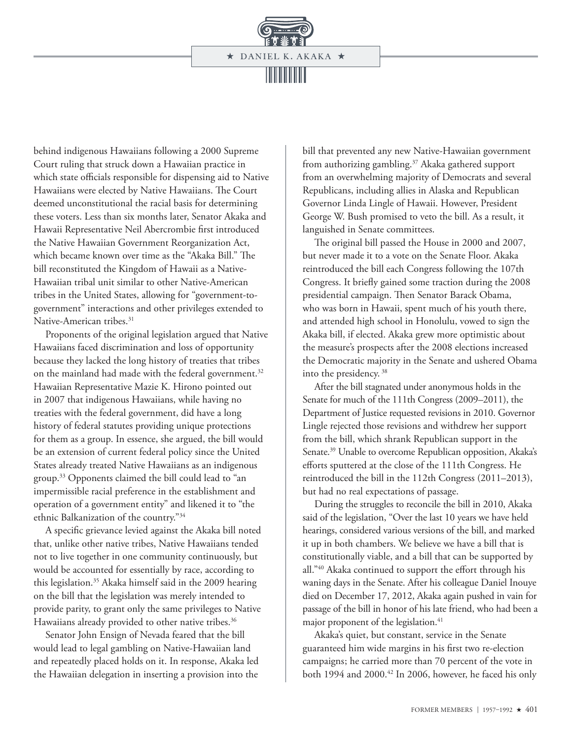behind indigenous Hawaiians following a 2000 Supreme Court ruling that struck down a Hawaiian practice in which state officials responsible for dispensing aid to Native Hawaiians were elected by Native Hawaiians. The Court deemed unconstitutional the racial basis for determining these voters. Less than six months later, Senator Akaka and Hawaii Representative Neil Abercrombie first introduced the Native Hawaiian Government Reorganization Act, which became known over time as the "Akaka Bill." The bill reconstituted the Kingdom of Hawaii as a Native-Hawaiian tribal unit similar to other Native-American tribes in the United States, allowing for "government-togovernment" interactions and other privileges extended to Native-American tribes.<sup>31</sup>

Proponents of the original legislation argued that Native Hawaiians faced discrimination and loss of opportunity because they lacked the long history of treaties that tribes on the mainland had made with the federal government.<sup>32</sup> Hawaiian Representative Mazie K. Hirono pointed out in 2007 that indigenous Hawaiians, while having no treaties with the federal government, did have a long history of federal statutes providing unique protections for them as a group. In essence, she argued, the bill would be an extension of current federal policy since the United States already treated Native Hawaiians as an indigenous group.33 Opponents claimed the bill could lead to "an impermissible racial preference in the establishment and operation of a government entity" and likened it to "the ethnic Balkanization of the country."34

A specific grievance levied against the Akaka bill noted that, unlike other native tribes, Native Hawaiians tended not to live together in one community continuously, but would be accounted for essentially by race, according to this legislation.35 Akaka himself said in the 2009 hearing on the bill that the legislation was merely intended to provide parity, to grant only the same privileges to Native Hawaiians already provided to other native tribes.<sup>36</sup>

Senator John Ensign of Nevada feared that the bill would lead to legal gambling on Native-Hawaiian land and repeatedly placed holds on it. In response, Akaka led the Hawaiian delegation in inserting a provision into the

bill that prevented any new Native-Hawaiian government from authorizing gambling.37 Akaka gathered support from an overwhelming majority of Democrats and several Republicans, including allies in Alaska and Republican Governor Linda Lingle of Hawaii. However, President George W. Bush promised to veto the bill. As a result, it languished in Senate committees.

The original bill passed the House in 2000 and 2007, but never made it to a vote on the Senate Floor. Akaka reintroduced the bill each Congress following the 107th Congress. It briefly gained some traction during the 2008 presidential campaign. Then Senator Barack Obama, who was born in Hawaii, spent much of his youth there, and attended high school in Honolulu, vowed to sign the Akaka bill, if elected. Akaka grew more optimistic about the measure's prospects after the 2008 elections increased the Democratic majority in the Senate and ushered Obama into the presidency. 38

After the bill stagnated under anonymous holds in the Senate for much of the 111th Congress (2009–2011), the Department of Justice requested revisions in 2010. Governor Lingle rejected those revisions and withdrew her support from the bill, which shrank Republican support in the Senate.<sup>39</sup> Unable to overcome Republican opposition, Akaka's efforts sputtered at the close of the 111th Congress. He reintroduced the bill in the 112th Congress (2011–2013), but had no real expectations of passage.

During the struggles to reconcile the bill in 2010, Akaka said of the legislation, "Over the last 10 years we have held hearings, considered various versions of the bill, and marked it up in both chambers. We believe we have a bill that is constitutionally viable, and a bill that can be supported by all."40 Akaka continued to support the effort through his waning days in the Senate. After his colleague Daniel Inouye died on December 17, 2012, Akaka again pushed in vain for passage of the bill in honor of his late friend, who had been a major proponent of the legislation.<sup>41</sup>

Akaka's quiet, but constant, service in the Senate guaranteed him wide margins in his first two re-election campaigns; he carried more than 70 percent of the vote in both 1994 and 2000.<sup>42</sup> In 2006, however, he faced his only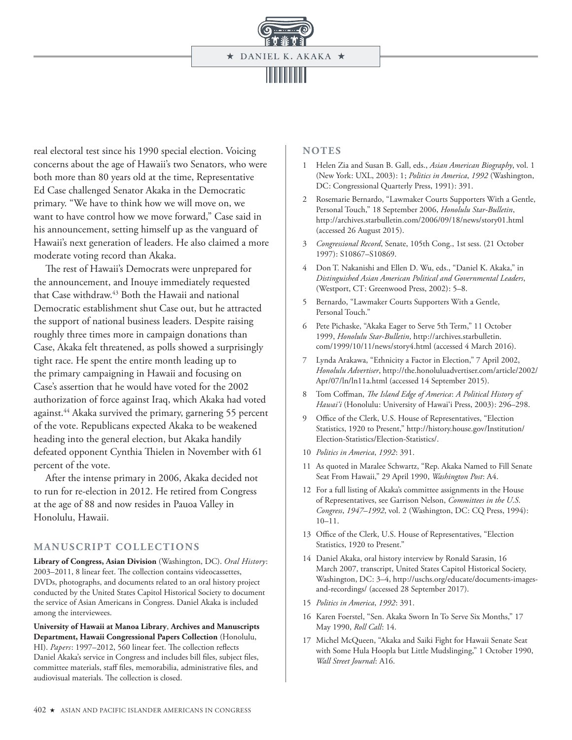

real electoral test since his 1990 special election. Voicing concerns about the age of Hawaii's two Senators, who were both more than 80 years old at the time, Representative Ed Case challenged Senator Akaka in the Democratic primary. "We have to think how we will move on, we want to have control how we move forward," Case said in his announcement, setting himself up as the vanguard of Hawaii's next generation of leaders. He also claimed a more moderate voting record than Akaka.

The rest of Hawaii's Democrats were unprepared for the announcement, and Inouye immediately requested that Case withdraw.<sup>43</sup> Both the Hawaii and national Democratic establishment shut Case out, but he attracted the support of national business leaders. Despite raising roughly three times more in campaign donations than Case, Akaka felt threatened, as polls showed a surprisingly tight race. He spent the entire month leading up to the primary campaigning in Hawaii and focusing on Case's assertion that he would have voted for the 2002 authorization of force against Iraq, which Akaka had voted against.<sup>44</sup> Akaka survived the primary, garnering 55 percent of the vote. Republicans expected Akaka to be weakened heading into the general election, but Akaka handily defeated opponent Cynthia Thielen in November with 61 percent of the vote.

After the intense primary in 2006, Akaka decided not to run for re-election in 2012. He retired from Congress at the age of 88 and now resides in Pauoa Valley in Honolulu, Hawaii.

## **MANUSCRIPT COLLECTIONS**

**Library of Congress, Asian Division** (Washington, DC). *Oral History*: 2003–2011, 8 linear feet. The collection contains videocassettes, DVDs, photographs, and documents related to an oral history project conducted by the United States Capitol Historical Society to document the service of Asian Americans in Congress. Daniel Akaka is included among the interviewees.

**University of Hawaii at Manoa Library**, **Archives and Manuscripts Department, Hawaii Congressional Papers Collection** (Honolulu, HI). *Papers*: 1997–2012, 560 linear feet. The collection reflects Daniel Akaka's service in Congress and includes bill files, subject files, committee materials, staff files, memorabilia, administrative files, and audiovisual materials. The collection is closed.

## **NOTES**

- 1 Helen Zia and Susan B. Gall, eds., *Asian American Biography*, vol. 1 (New York: UXL, 2003): 1; *Politics in America*, *1992* (Washington, DC: Congressional Quarterly Press, 1991): 391.
- 2 Rosemarie Bernardo, "Lawmaker Courts Supporters With a Gentle, Personal Touch," 18 September 2006, *Honolulu Star-Bulletin*, http://archives.starbulletin.com/2006/09/18/news/story01.html (accessed 26 August 2015).
- 3 *Congressional Record*, Senate, 105th Cong., 1st sess. (21 October 1997): S10867–S10869.
- 4 Don T. Nakanishi and Ellen D. Wu, eds., "Daniel K. Akaka," in *Distinguished Asian American Political and Governmental Leaders*, (Westport, CT: Greenwood Press, 2002): 5–8.
- 5 Bernardo, "Lawmaker Courts Supporters With a Gentle, Personal Touch."
- 6 Pete Pichaske, "Akaka Eager to Serve 5th Term," 11 October 1999, *Honolulu Star-Bulletin*, http://archives.starbulletin. com/1999/10/11/news/story4.html (accessed 4 March 2016).
- 7 Lynda Arakawa, "Ethnicity a Factor in Election," 7 April 2002, *Honolulu Advertiser*, http://the.honoluluadvertiser.com/article/2002/ Apr/07/ln/ln11a.html (accessed 14 September 2015).
- 8 Tom Coffman, *The Island Edge of America*: *A Political History of Hawai'i* (Honolulu: University of Hawai'i Press, 2003): 296–298.
- Office of the Clerk, U.S. House of Representatives, "Election Statistics, 1920 to Present," http://history.house.gov/Institution/ Election-Statistics/Election-Statistics/.
- 10 *Politics in America*, *1992*: 391.
- 11 As quoted in Maralee Schwartz, "Rep. Akaka Named to Fill Senate Seat From Hawaii," 29 April 1990, *Washington Post*: A4.
- 12 For a full listing of Akaka's committee assignments in the House of Representatives, see Garrison Nelson, *Committees in the U*.*S*. *Congress*, *1947–1992*, vol. 2 (Washington, DC: CQ Press, 1994): 10–11.
- 13 Office of the Clerk, U.S. House of Representatives, "Election Statistics, 1920 to Present."
- 14 Daniel Akaka, oral history interview by Ronald Sarasin, 16 March 2007, transcript, United States Capitol Historical Society, Washington, DC: 3–4, http://uschs.org/educate/documents-imagesand-recordings/ (accessed 28 September 2017).
- 15 *Politics in America*, *1992*: 391.
- 16 Karen Foerstel, "Sen. Akaka Sworn In To Serve Six Months," 17 May 1990, *Roll Call*: 14.
- 17 Michel McQueen, "Akaka and Saiki Fight for Hawaii Senate Seat with Some Hula Hoopla but Little Mudslinging," 1 October 1990, *Wall Street Journal*: A16.